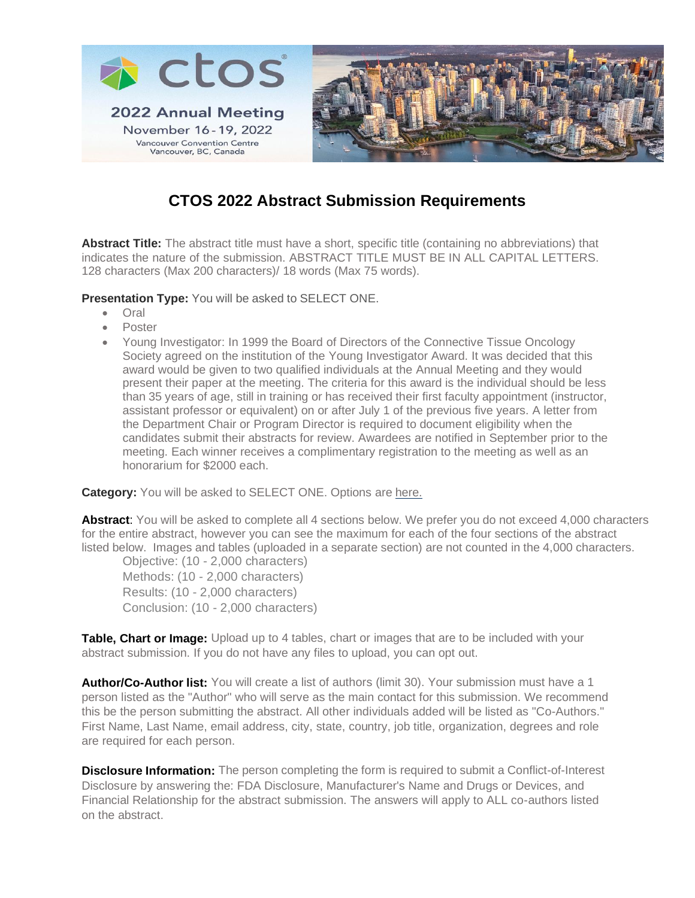

# **CTOS 2022 Abstract Submission Requirements**

**Abstract Title:** The abstract title must have a short, specific title (containing no abbreviations) that indicates the nature of the submission. ABSTRACT TITLE MUST BE IN ALL CAPITAL LETTERS. 128 characters (Max 200 characters)/ 18 words (Max 75 words).

**Presentation Type:** You will be asked to SELECT ONE.

- Oral
- Poster
- Young Investigator: In 1999 the Board of Directors of the Connective Tissue Oncology Society agreed on the institution of the Young Investigator Award. It was decided that this award would be given to two qualified individuals at the Annual Meeting and they would present their paper at the meeting. The criteria for this award is the individual should be less than 35 years of age, still in training or has received their first faculty appointment (instructor, assistant professor or equivalent) on or after July 1 of the previous five years. A letter from the Department Chair or Program Director is required to document eligibility when the candidates submit their abstracts for review. Awardees are notified in September prior to the meeting. Each winner receives a complimentary registration to the meeting as well as an honorarium for \$2000 each.

**Category:** You will be asked to SELECT ONE. Options are [here.](https://www.ctos.org/Portals/0/PDF/2022%20CTOS%20Abstract%20Categories.pdf)

**Abstract**: You will be asked to complete all 4 sections below. We prefer you do not exceed 4,000 characters for the entire abstract, however you can see the maximum for each of the four sections of the abstract listed below. Images and tables (uploaded in a separate section) are not counted in the 4,000 characters.

Objective: (10 - 2,000 characters) Methods: (10 - 2,000 characters) Results: (10 - 2,000 characters) Conclusion: (10 - 2,000 characters)

Table, Chart or Image: Upload up to 4 tables, chart or images that are to be included with your abstract submission. If you do not have any files to upload, you can opt out.

**Author/Co-Author list:** You will create a list of authors (limit 30). Your submission must have a 1 person listed as the "Author" who will serve as the main contact for this submission. We recommend this be the person submitting the abstract. All other individuals added will be listed as "Co-Authors." First Name, Last Name, email address, city, state, country, job title, organization, degrees and role are required for each person.

**Disclosure Information:** The person completing the form is required to submit a Conflict-of-Interest Disclosure by answering the: FDA Disclosure, Manufacturer's Name and Drugs or Devices, and Financial Relationship for the abstract submission. The answers will apply to ALL co-authors listed on the abstract.